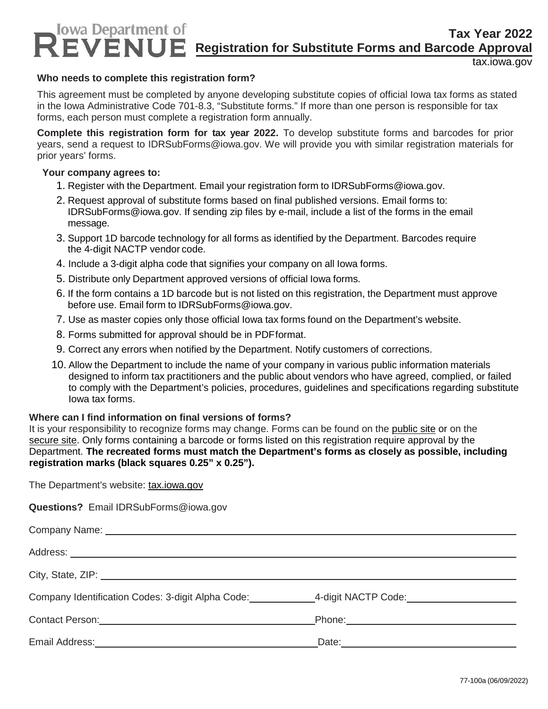# **Tax Year 2022 Registration for Substitute Forms and Barcode Approval**

tax.iowa.gov

## **Who needs to complete this registration form?**

This agreement must be completed by anyone developing substitute copies of official Iowa tax forms as stated in the Iowa Administrative Code 701-8.3, "Substitute forms." If more than one person is responsible for tax forms, each person must complete a registration form annually.

**Complete this registration form for tax year 2022.** To develop substitute forms and barcodes for prior years, send a request to IDRSubForms@iowa.gov. We will provide you with similar registration materials for prior years' forms.

### **Your company agrees to:**

- 1. Register with the Department. Email your registration form to IDRSubForms@iowa.gov.
- 2. Request approval of substitute forms based on final published versions. Email forms to: IDRSubForms@iowa.gov. If sending zip files by e-mail, include a list of the forms in the email message.
- 3. Support 1D barcode technology for all forms as identified by the Department. Barcodes require the 4-digit NACTP vendor code.
- 4. Include a 3-digit alpha code that signifies your company on all Iowa forms.
- 5. Distribute only Department approved versions of official Iowa forms.
- 6. If the form contains a 1D barcode but is not listed on this registration, the Department must approve before use. Email form to IDRSubForms@iowa.gov.
- 7. Use as master copies only those official Iowa tax forms found on the Department's website.
- 8. Forms submitted for approval should be in PDFformat.
- 9. Correct any errors when notified by the Department. Notify customers of corrections.
- 10. Allow the Department to include the name of your company in various public information materials designed to inform tax practitioners and the public about vendors who have agreed, complied, or failed to comply with the Department's policies, procedures, guidelines and specifications regarding substitute Iowa tax forms.

#### **Where can I find information on final versions of forms?**

It is your responsibility to recognize forms may change. Forms can be found on the public site or on the secure site. Only forms containing a barcode or forms listed on this registration require approval by the Department. **The recreated forms must match the Department's forms as closely as possible, including registration marks (black squares 0.25" x 0.25").** 

The Department's website: tax.iowa.gov

**Questions?** Email IDRSubForms@iowa.gov

| City, State, ZIP: 2008. 2009. 2010. 2010. 2010. 2010. 2010. 2010. 2010. 2010. 2010. 2010. 2010. 2010. 2010. 20 |  |
|----------------------------------------------------------------------------------------------------------------|--|
| Company Identification Codes: 3-digit Alpha Code: ______________4-digit NACTP Code: _______________            |  |
|                                                                                                                |  |
|                                                                                                                |  |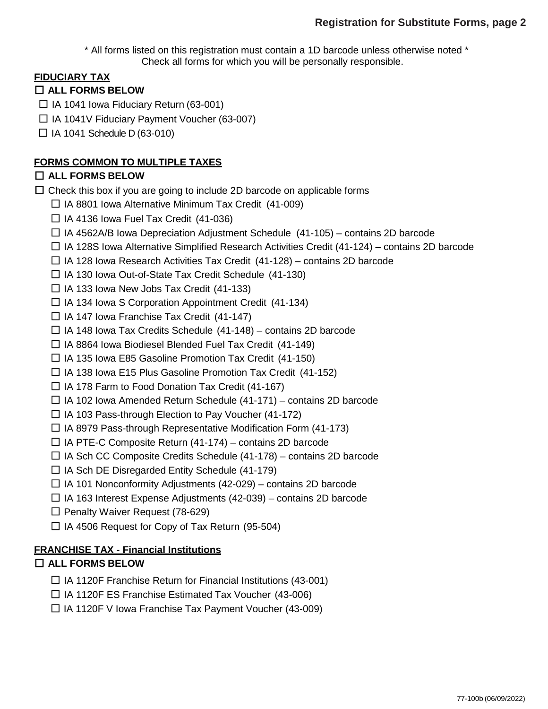\* All forms listed on this registration must contain a 1D barcode unless otherwise noted \* Check all forms for which you will be personally responsible.

# **FIDUCIARY TAX**

## □ **ALL FORMS BELOW**

- $\Box$  IA 1041 Iowa Fiduciary Return (63-001)
- □ IA 1041V Fiduciary Payment Voucher (63-007)
- $\Box$  IA 1041 Schedule D (63-010)

## **FORMS COMMON TO MULTIPLE TAXES**

## □ **ALL FORMS BELOW**

 $\Box$  Check this box if you are going to include 2D barcode on applicable forms

- $\Box$  IA 8801 Iowa Alternative Minimum Tax Credit (41-009)
- $\Box$  IA 4136 Iowa Fuel Tax Credit (41-036)
- $\Box$  IA 4562A/B Iowa Depreciation Adjustment Schedule (41-105) contains 2D barcode
- $\Box$  IA 128S Iowa Alternative Simplified Research Activities Credit (41-124) contains 2D barcode
- $\Box$  IA 128 Iowa Research Activities Tax Credit (41-128) contains 2D barcode
- □ IA 130 Iowa Out-of-State Tax Credit Schedule (41-130)
- $\Box$  IA 133 Iowa New Jobs Tax Credit (41-133)
- $\Box$  IA 134 Iowa S Corporation Appointment Credit (41-134)
- $\Box$  IA 147 Iowa Franchise Tax Credit (41-147)
- $\Box$  IA 148 Iowa Tax Credits Schedule (41-148) contains 2D barcode
- □ IA 8864 Iowa Biodiesel Blended Fuel Tax Credit (41-149)
- □ IA 135 Iowa E85 Gasoline Promotion Tax Credit (41-150)
- $\Box$  IA 138 Iowa E15 Plus Gasoline Promotion Tax Credit (41-152)
- $\Box$  IA 178 Farm to Food Donation Tax Credit (41-167)
- $\Box$  IA 102 Iowa Amended Return Schedule (41-171) contains 2D barcode
- $\Box$  IA 103 Pass-through Election to Pay Voucher (41-172)
- $\Box$  IA 8979 Pass-through Representative Modification Form (41-173)
- $\Box$  IA PTE-C Composite Return (41-174) contains 2D barcode
- $\Box$  IA Sch CC Composite Credits Schedule (41-178) contains 2D barcode
- $\Box$  IA Sch DE Disregarded Entity Schedule (41-179)
- $\Box$  IA 101 Nonconformity Adjustments (42-029) contains 2D barcode
- $\Box$  IA 163 Interest Expense Adjustments (42-039) contains 2D barcode
- $\Box$  Penalty Waiver Request (78-629)
- $\Box$  IA 4506 Request for Copy of Tax Return (95-504)

## **FRANCHISE TAX - Financial Institutions**

# □ **ALL FORMS BELOW**

- $\Box$  IA 1120F Franchise Return for Financial Institutions (43-001)
- $\Box$  IA 1120F ES Franchise Estimated Tax Voucher (43-006)
- $\Box$  IA 1120F V Iowa Franchise Tax Payment Voucher (43-009)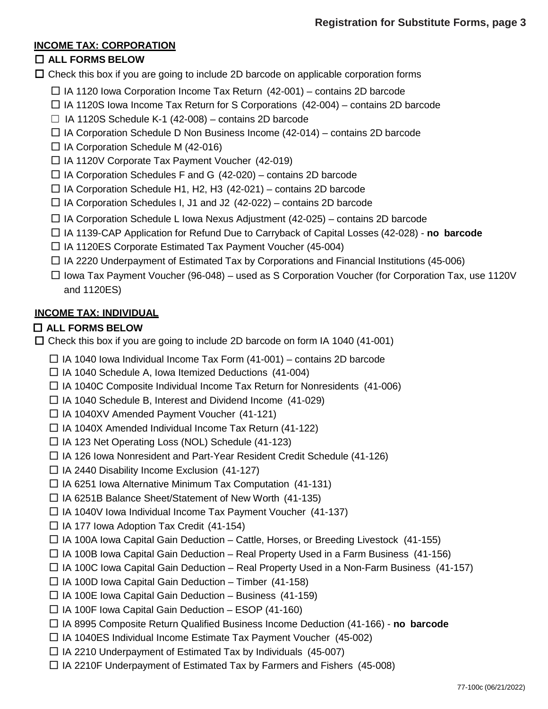## **INCOME TAX: CORPORATION**

# □ **ALL FORMS BELOW**

 $\square$  Check this box if you are going to include 2D barcode on applicable corporation forms

- $\Box$  IA 1120 Iowa Corporation Income Tax Return (42-001) contains 2D barcode
- $\Box$  IA 1120S Iowa Income Tax Return for S Corporations (42-004) contains 2D barcode
- $\Box$  IA 1120S Schedule K-1 (42-008) contains 2D barcode
- $\Box$  IA Corporation Schedule D Non Business Income (42-014) contains 2D barcode
- $\Box$  IA Corporation Schedule M (42-016)
- $\Box$  IA 1120V Corporate Tax Payment Voucher (42-019)
- $\Box$  IA Corporation Schedules F and G (42-020) contains 2D barcode
- $\Box$  IA Corporation Schedule H1, H2, H3 (42-021) contains 2D barcode
- $\Box$  IA Corporation Schedules I, J1 and J2 (42-022) contains 2D barcode
- $\Box$  IA Corporation Schedule L Iowa Nexus Adjustment (42-025) contains 2D barcode
- □ IA 1139-CAP Application for Refund Due to Carryback of Capital Losses (42-028) **no barcode**
- □ IA 1120ES Corporate Estimated Tax Payment Voucher (45-004)
- $\Box$  IA 2220 Underpayment of Estimated Tax by Corporations and Financial Institutions (45-006)
- $\Box$  Iowa Tax Payment Voucher (96-048) used as S Corporation Voucher (for Corporation Tax, use 1120V and 1120ES)

# **INCOME TAX: INDIVIDUAL**

# □ **ALL FORMS BELOW**

 $\Box$  Check this box if you are going to include 2D barcode on form IA 1040 (41-001)

- $\Box$  IA 1040 lowa Individual Income Tax Form (41-001) contains 2D barcode
- $\Box$  IA 1040 Schedule A, Iowa Itemized Deductions (41-004)
- $\Box$  IA 1040C Composite Individual Income Tax Return for Nonresidents (41-006)
- $\Box$  IA 1040 Schedule B, Interest and Dividend Income (41-029)
- $\Box$  IA 1040XV Amended Payment Voucher (41-121)
- $\Box$  IA 1040X Amended Individual Income Tax Return (41-122)
- □ IA 123 Net Operating Loss (NOL) Schedule (41-123)
- $\Box$  IA 126 Iowa Nonresident and Part-Year Resident Credit Schedule (41-126)
- $\Box$  IA 2440 Disability Income Exclusion (41-127)
- $\Box$  IA 6251 Iowa Alternative Minimum Tax Computation (41-131)
- □ IA 6251B Balance Sheet/Statement of New Worth (41-135)
- $\Box$  IA 1040V lowa Individual Income Tax Payment Voucher (41-137)
- $\Box$  IA 177 Iowa Adoption Tax Credit (41-154)
- $\Box$  IA 100A Iowa Capital Gain Deduction Cattle, Horses, or Breeding Livestock (41-155)
- $\Box$  IA 100B Iowa Capital Gain Deduction Real Property Used in a Farm Business (41-156)
- $\Box$  IA 100C Iowa Capital Gain Deduction Real Property Used in a Non-Farm Business (41-157)
- $\Box$  IA 100D Iowa Capital Gain Deduction Timber (41-158)
- $\Box$  IA 100E Iowa Capital Gain Deduction Business (41-159)
- $\Box$  IA 100F Iowa Capital Gain Deduction ESOP (41-160)
- □ IA 8995 Composite Return Qualified Business Income Deduction (41-166) **no barcode**
- $\Box$  IA 1040ES Individual Income Estimate Tax Payment Voucher (45-002)
- $\Box$  IA 2210 Underpayment of Estimated Tax by Individuals (45-007)
- $\Box$  IA 2210F Underpayment of Estimated Tax by Farmers and Fishers (45-008)